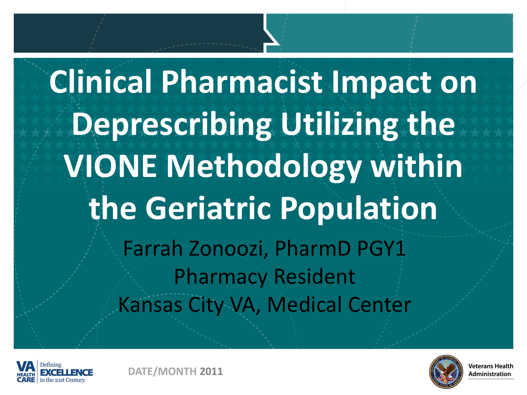**Clinical Pharmacist Impact on Deprescribing Utilizing the VIONE Methodology within the Geriatric Population** Farrah Zonoozi, PharmD PGY1 Pharmacy Resident Kansas City VA, Medical Center





**DATE/MONTH 2011**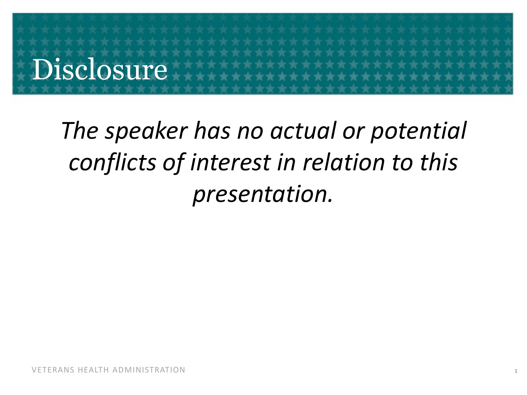# Disclosure

### *The speaker has no actual or potential conflicts of interest in relation to this presentation.*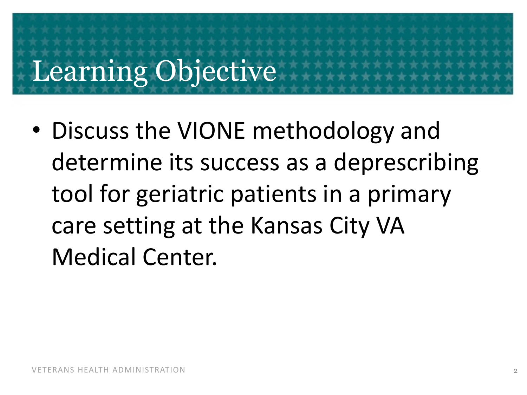# Learning Objective

• Discuss the VIONE methodology and determine its success as a deprescribing tool for geriatric patients in a primary care setting at the Kansas City VA Medical Center.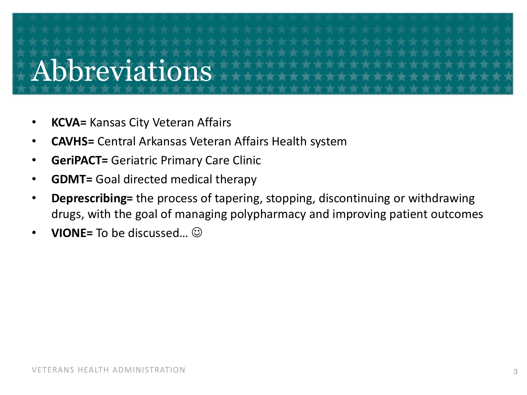## Abbreviations

- **KCVA=** Kansas City Veteran Affairs
- **CAVHS=** Central Arkansas Veteran Affairs Health system
- **GeriPACT=** Geriatric Primary Care Clinic
- **GDMT=** Goal directed medical therapy
- **Deprescribing=** the process of tapering, stopping, discontinuing or withdrawing drugs, with the goal of managing polypharmacy and improving patient outcomes
- **VIONE=** To be discussed…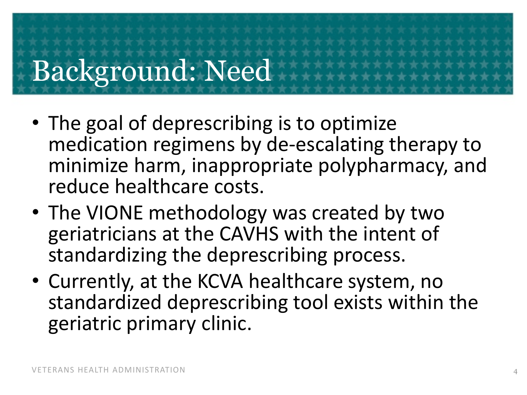# Background: Need

- The goal of deprescribing is to optimize medication regimens by de-escalating therapy to minimize harm, inappropriate polypharmacy, and reduce healthcare costs.
- The VIONE methodology was created by two geriatricians at the CAVHS with the intent of standardizing the deprescribing process.
- Currently, at the KCVA healthcare system, no standardized deprescribing tool exists within the geriatric primary clinic.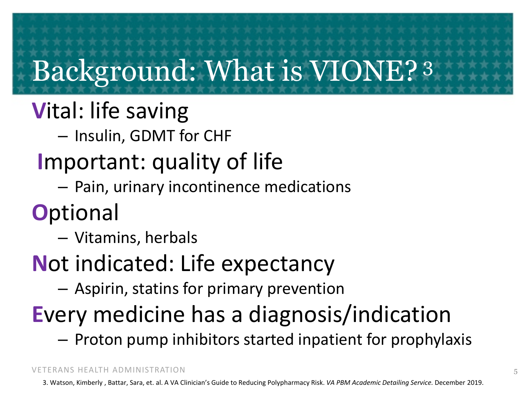# Background: What is VIONE? <sup>3</sup>

### **V**ital: life saving

– Insulin, GDMT for CHF

### **I**mportant: quality of life

– Pain, urinary incontinence medications

### **O**ptional

- Vitamins, herbals
- **N**ot indicated: Life expectancy
	- Aspirin, statins for primary prevention

### **E**very medicine has a diagnosis/indication

– Proton pump inhibitors started inpatient for prophylaxis

VETERANS HEALTH ADMINISTRATION

3. Watson, Kimberly , Battar, Sara, et. al. A VA Clinician's Guide to Reducing Polypharmacy Risk. *VA PBM Academic Detailing Service.* December 2019.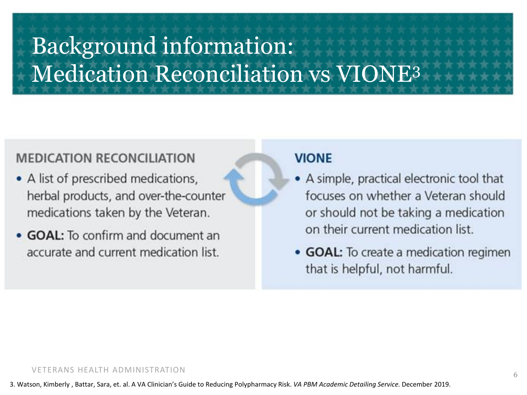### Background information: Medication Reconciliation vs VIONE3

#### **MEDICATION RECONCILIATION**

- A list of prescribed medications, herbal products, and over-the-counter medications taken by the Veteran.
- GOAL: To confirm and document an accurate and current medication list.

#### **VIONE**

- A simple, practical electronic tool that focuses on whether a Veteran should or should not be taking a medication on their current medication list.
- GOAL: To create a medication regimen that is helpful, not harmful.

#### VETERANS HEALTH ADMINISTRATION

3. Watson, Kimberly , Battar, Sara, et. al. A VA Clinician's Guide to Reducing Polypharmacy Risk. *VA PBM Academic Detailing Service.* December 2019.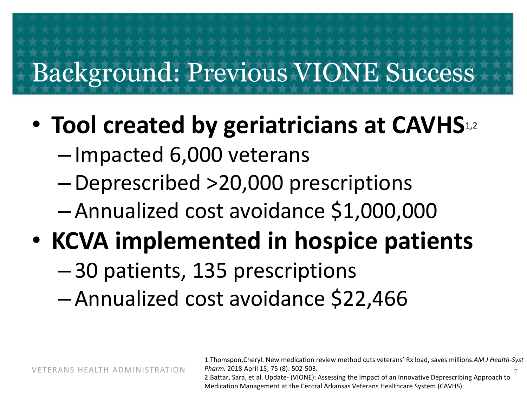### Background: Previous VIONE Success

- **Tool created by geriatricians at CAVHS**1,2
	- Impacted 6,000 veterans
	- –Deprescribed >20,000 prescriptions
	- Annualized cost avoidance \$1,000,000

### • **KCVA implemented in hospice patients**

– 30 patients, 135 prescriptions

– Annualized cost avoidance \$22,466

VETERANS HEALTH ADMINISTRATION

7 1.Thomspon,Cheryl. New medication review method cuts veterans' Rx load, saves millions.*AM J Health-Syst Pharm.* 2018 April 15; 75 (8): 502-503.

2.Battar, Sara, et al. Update- (VIONE): Assessing the Impact of an Innovative Deprescribing Approach to Medication Management at the Central Arkansas Veterans Healthcare System (CAVHS).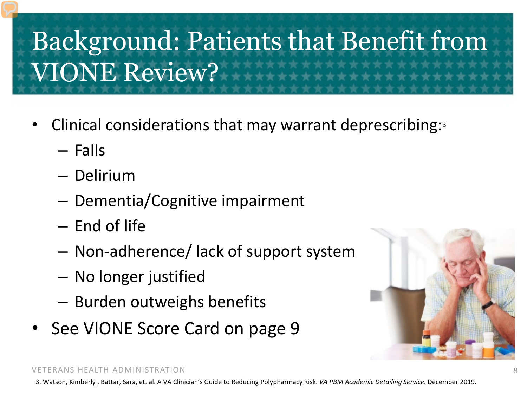### Background: Patients that Benefit from VIONE Review?

- Clinical considerations that may warrant deprescribing:3
	- Falls
	- Delirium
	- Dementia/Cognitive impairment
	- End of life
	- Non-adherence/ lack of support system
	- No longer justified
	- Burden outweighs benefits
- See VIONE Score Card on page 9



#### VETERANS HEALTH ADMINISTRATION

3. Watson, Kimberly , Battar, Sara, et. al. A VA Clinician's Guide to Reducing Polypharmacy Risk. *VA PBM Academic Detailing Service.* December 2019.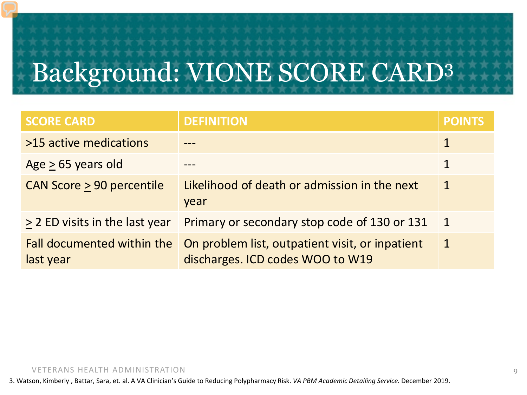# Background: VIONE SCORE CARD3

| <b>SCORE CARD</b>                       | <b>DEFINITION</b>                                                                   | <b>POINTS</b> |
|-----------------------------------------|-------------------------------------------------------------------------------------|---------------|
| >15 active medications                  |                                                                                     |               |
| Age $> 65$ years old                    |                                                                                     |               |
| CAN Score > 90 percentile               | Likelihood of death or admission in the next<br>year                                | $\mathbf 1$   |
| > 2 ED visits in the last year          | Primary or secondary stop code of 130 or 131                                        | $\mathbf 1$   |
| Fall documented within the<br>last year | On problem list, outpatient visit, or inpatient<br>discharges. ICD codes WOO to W19 | $\mathbf{1}$  |

#### VETERANS HEALTH ADMINISTRATION

3. Watson, Kimberly , Battar, Sara, et. al. A VA Clinician's Guide to Reducing Polypharmacy Risk. *VA PBM Academic Detailing Service.* December 2019.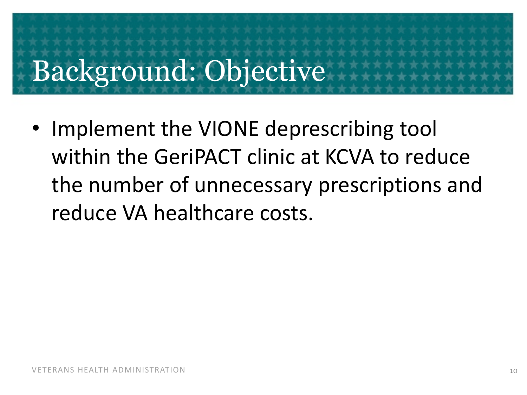# Background: Objective

• Implement the VIONE deprescribing tool within the GeriPACT clinic at KCVA to reduce the number of unnecessary prescriptions and reduce VA healthcare costs.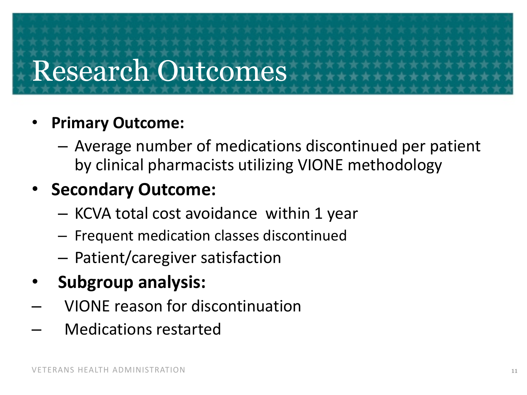### Research Outcomes

### • **Primary Outcome:**

– Average number of medications discontinued per patient by clinical pharmacists utilizing VIONE methodology

### • **Secondary Outcome:**

- KCVA total cost avoidance within 1 year
- Frequent medication classes discontinued
- Patient/caregiver satisfaction
- **Subgroup analysis:**
- VIONE reason for discontinuation
- Medications restarted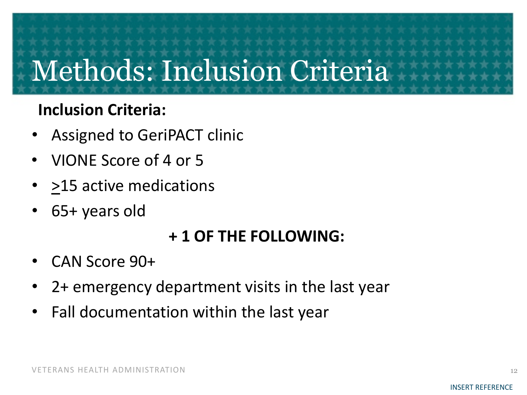## Methods: Inclusion Criteria

### **Inclusion Criteria:**

- Assigned to GeriPACT clinic
- VIONE Score of 4 or 5
- >15 active medications
- 65+ years old

### **+ 1 OF THE FOLLOWING:**

- CAN Score 90+
- 2+ emergency department visits in the last year
- Fall documentation within the last year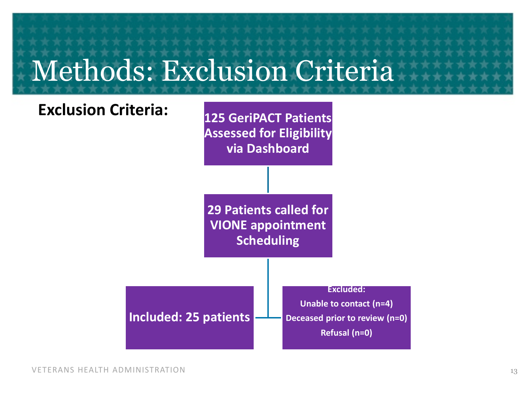### Methods: Exclusion Criteria

**Included: 25 patients**

**Exclusion Criteria: 125 GeriPACT Patients** 

**Assessed for Eligibility via Dashboard**

**29 Patients called for VIONE appointment Scheduling**



**Unable to contact (n=4) Deceased prior to review (n=0) Refusal (n=0)**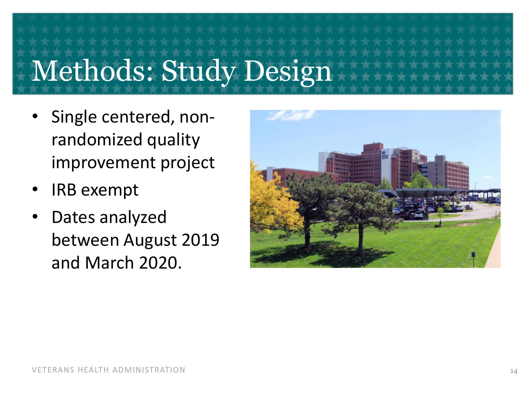# Methods: Study Design

- Single centered, nonrandomized quality improvement project
- IRB exempt
- Dates analyzed between August 2019 and March 2020.

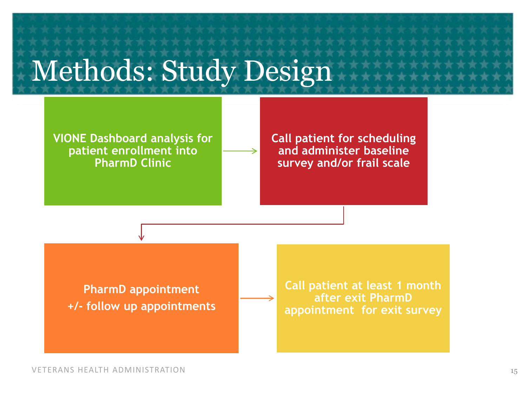### Methods: Study Design

**VIONE Dashboard analysis for patient enrollment into PharmD Clinic**

**Call patient for scheduling and administer baseline survey and/or frail scale**

**PharmD appointment +/- follow up appointments**  **Call patient at least 1 month after exit PharmD appointment for exit survey**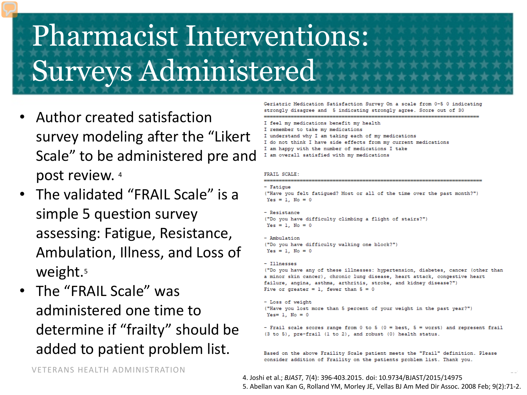### Pharmacist Interventions: Surveys Administered

- Author created satisfaction survey modeling after the "Likert Scale" to be administered pre and post review. 4
- The validated "FRAIL Scale" is a simple 5 question survey assessing: Fatigue, Resistance, Ambulation, Illness, and Loss of weight.<sup>5</sup>
- The "FRAIL Scale" was administered one time to determine if "frailty" should be added to patient problem list.

Geriatric Medication Satisfaction Survey On a scale from 0-5 0 indicating strongly disagree and 5 indicating strongly agree. Score out of 30

- I feel my medications benefit my health
- I remember to take my medications
- I understand why I am taking each of my medications
- I do not think I have side effects from mv current medications
- I am happy with the number of medications I take
- I am overall satisfied with my medications

#### FRAIL SCALE:

- Fatioue

("Have you felt fatiqued? Most or all of the time over the past month?")  $Yes = 1. No = 0$ 

#### - Resistance ("Do you have difficulty climbing a flight of stairs?")

 $Yes = 1$ . No = 0

- Ambulation ("Do you have difficulty walking one block?")  $Yes = 1$ . No = 0

#### - Illnesses

("Do you have any of these illnesses: hypertension, diabetes, cancer (other than a minor skin cancer), chronic lung disease, heart attack, congestive heart failure, angina, asthma, arthritis, stroke, and kidney disease?") Five or greater = 1, fewer than  $5 = 0$ 

- Loss of weight ("Have you lost more than 5 percent of your weight in the past year?") Yes= 1,  $No = 0$ 

- Frail scale scores range from 0 to 5 (0 = best, 5 = worst) and represent frail (3 to 5), pre-frail (1 to 2), and robust (0) health status.

Based on the above Fraility Scale patient meets the "Frail" definition. Please consider addition of Fraility on the patients problem list. Thank you.

VETERANS HEALTH ADMINISTRATION

 $\sim$ 4. Joshi et al.; *BJAST*, 7(4): 396-403.2015. doi: 10.9734/BJAST/2015/14975 5. Abellan van Kan G, Rolland YM, Morley JE, Vellas BJ Am Med Dir Assoc. 2008 Feb; 9(2):71-2.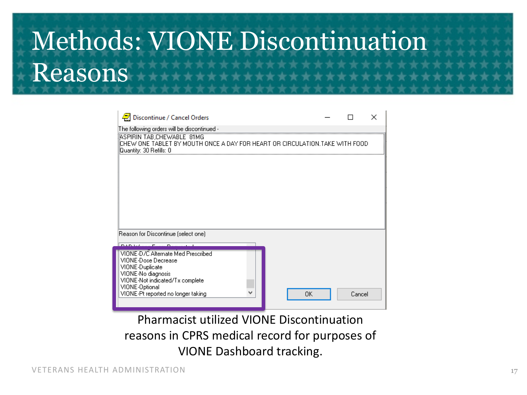### Methods: VIONE Discontinuation Reasons

| Discontinue / Cancel Orders                                                                                                                                                                   |    |        |  |  |  |
|-----------------------------------------------------------------------------------------------------------------------------------------------------------------------------------------------|----|--------|--|--|--|
| The following orders will be discontinued -                                                                                                                                                   |    |        |  |  |  |
| ASPIRIN TAB CHEWABLE 81MG<br>CHEW ONE TABLET BY MOUTH ONCE A DAY FOR HEART OR CIRCULATION.TAKE WITH FOOD<br>Quantity: 30 Refills: 0                                                           |    |        |  |  |  |
|                                                                                                                                                                                               |    |        |  |  |  |
|                                                                                                                                                                                               |    |        |  |  |  |
|                                                                                                                                                                                               |    |        |  |  |  |
|                                                                                                                                                                                               |    |        |  |  |  |
| Reason for Discontinue (select one)                                                                                                                                                           |    |        |  |  |  |
| <b>DADALA</b>                                                                                                                                                                                 |    |        |  |  |  |
| VIONE-D/C Alternate Med Prescribed<br>VIONE-Dose Decrease<br>VIONE-Duplicate<br>VIONE-No diagnosis<br>VIONE-Not indicated/Tx complete<br>VIONE-Optional<br>VIONE-Pt reported no longer taking | OΚ | Cancel |  |  |  |

Pharmacist utilized VIONE Discontinuation reasons in CPRS medical record for purposes of VIONE Dashboard tracking.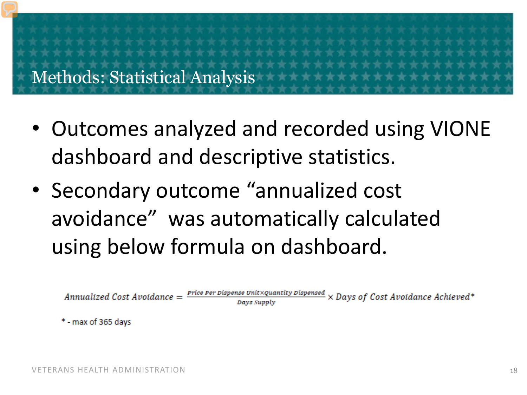Methods: Statistical Analysis

- Outcomes analyzed and recorded using VIONE dashboard and descriptive statistics.
- Secondary outcome "annualized cost avoidance" was automatically calculated using below formula on dashboard.

**Price Per Dispense Unit XQuantity Dispensed**  $\times$  Days of Cost Avoidance Achieved\* Annualized Cost Avoidance = Days Supply

\* - max of 365 days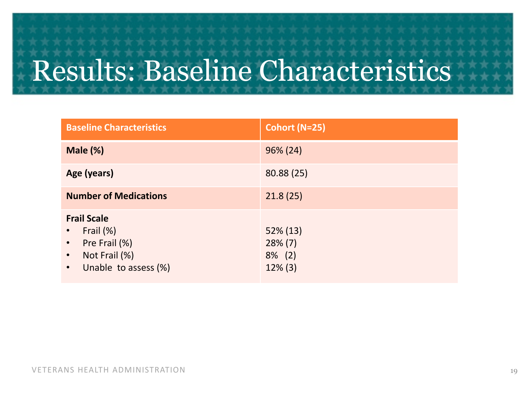## Results: Baseline Characteristics

| <b>Baseline Characteristics</b>                                                                                                               | Cohort (N=25)                                        |
|-----------------------------------------------------------------------------------------------------------------------------------------------|------------------------------------------------------|
| Male (%)                                                                                                                                      | $96\% (24)$                                          |
| Age (years)                                                                                                                                   | 80.88 (25)                                           |
| <b>Number of Medications</b>                                                                                                                  | 21.8(25)                                             |
| <b>Frail Scale</b><br>Frail (%)<br>$\bullet$<br>Pre Frail (%)<br>$\bullet$<br>Not Frail (%)<br>$\bullet$<br>Unable to assess (%)<br>$\bullet$ | $52\% (13)$<br>$28\%$ (7)<br>$8\%$ (2)<br>$12\%$ (3) |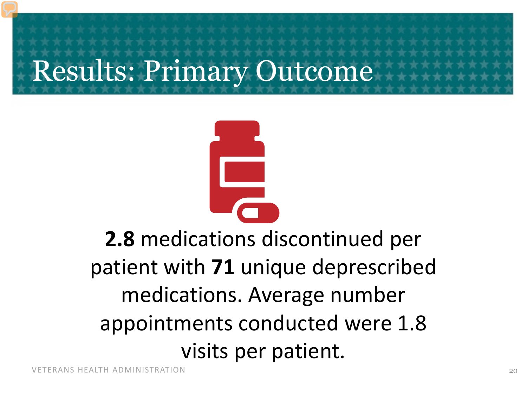Results: Primary Outcome

**2.8** medications discontinued per patient with **71** unique deprescribed medications. Average number appointments conducted were 1.8 visits per patient.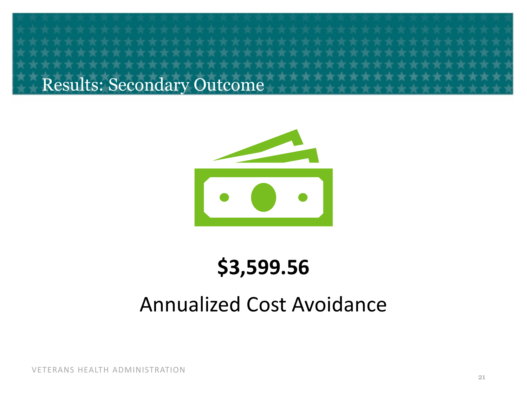Results: Secondary Outcome



### **\$3,599.56**

### Annualized Cost Avoidance

VETERANS HEALTH ADMINISTRATION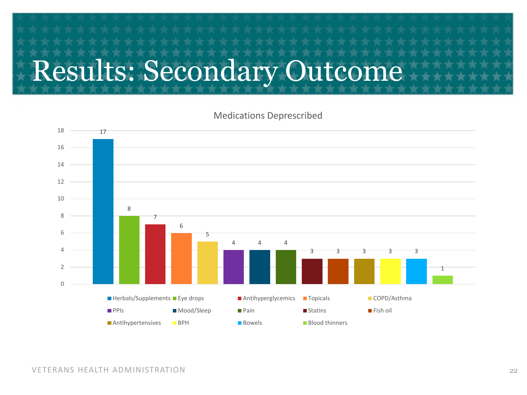## Results: Secondary Outcome

#### Medications Deprescribed

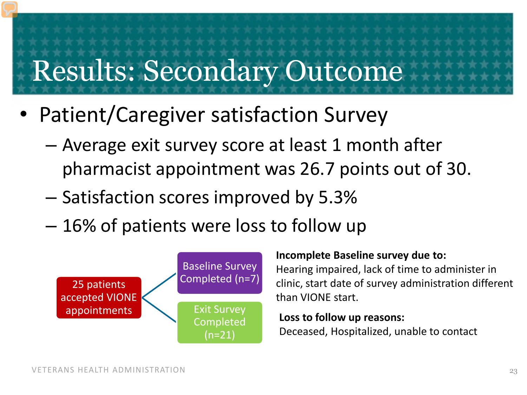### Results: Secondary Outcome

- Patient/Caregiver satisfaction Survey
	- Average exit survey score at least 1 month after pharmacist appointment was 26.7 points out of 30.
	- Satisfaction scores improved by 5.3%
	- 16% of patients were loss to follow up



#### **Incomplete Baseline survey due to:**

Hearing impaired, lack of time to administer in clinic, start date of survey administration different than VIONE start.

**Loss to follow up reasons:**  Deceased, Hospitalized, unable to contact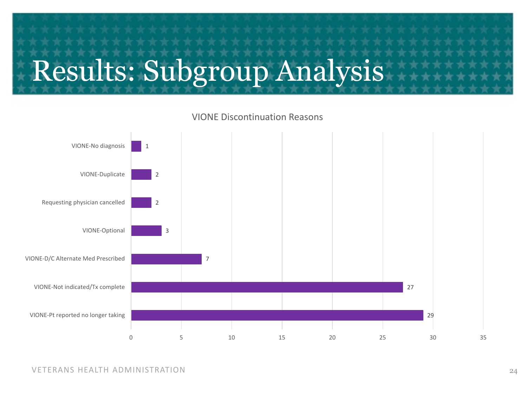# Results: Subgroup Analysis



VIONE Discontinuation Reasons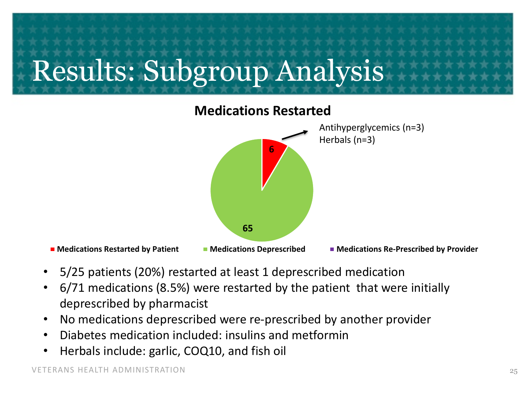# Results: Subgroup Analysis



- 5/25 patients (20%) restarted at least 1 deprescribed medication
- 6/71 medications (8.5%) were restarted by the patient that were initially deprescribed by pharmacist
- No medications deprescribed were re-prescribed by another provider
- Diabetes medication included: insulins and metformin
- Herbals include: garlic, COQ10, and fish oil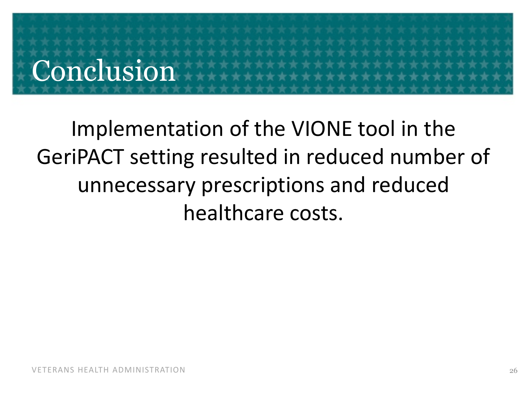# Conclusion

### Implementation of the VIONE tool in the GeriPACT setting resulted in reduced number of unnecessary prescriptions and reduced healthcare costs.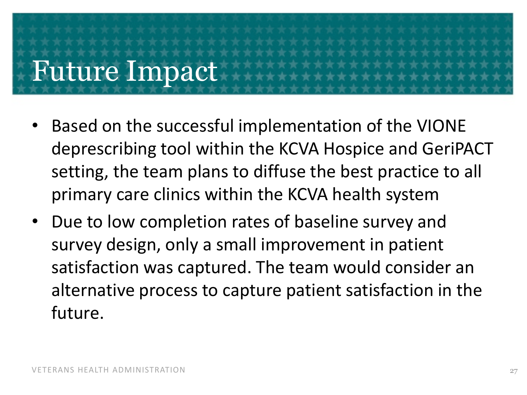# Future Impact

- Based on the successful implementation of the VIONE deprescribing tool within the KCVA Hospice and GeriPACT setting, the team plans to diffuse the best practice to all primary care clinics within the KCVA health system
- Due to low completion rates of baseline survey and survey design, only a small improvement in patient satisfaction was captured. The team would consider an alternative process to capture patient satisfaction in the future.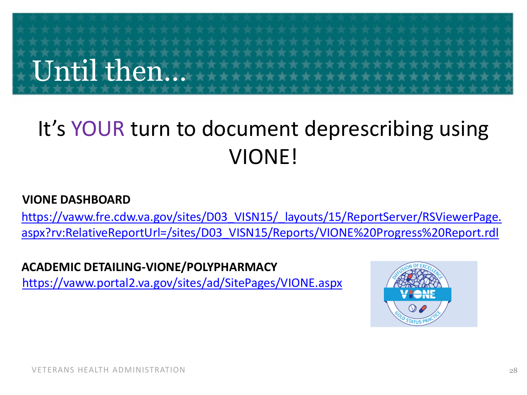# Until then…

### It's YOUR turn to document deprescribing using VIONE!

#### **VIONE DASHBOARD**

[https://vaww.fre.cdw.va.gov/sites/D03\\_VISN15/\\_layouts/15/ReportServer/RSViewerPage.](https://vaww.fre.cdw.va.gov/sites/D03_VISN15/_layouts/15/ReportServer/RSViewerPage.aspx?rv:RelativeReportUrl=/sites/D03_VISN15/Reports/VIONE%20Progress%20Report.rdl) aspx?rv:RelativeReportUrl=/sites/D03\_VISN15/Reports/VIONE%20Progress%20Report.rdl

#### **ACADEMIC DETAILING-VIONE/POLYPHARMACY**

<https://vaww.portal2.va.gov/sites/ad/SitePages/VIONE.aspx>

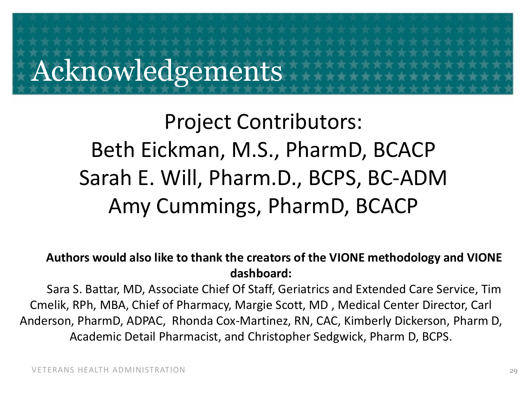### Acknowledgements

### Project Contributors: Beth Eickman, M.S., PharmD, BCACP Sarah E. Will, Pharm.D., BCPS, BC-ADM Amy Cummings, PharmD, BCACP

#### **Authors would also like to thank the creators of the VIONE methodology and VIONE dashboard:**

Sara S. Battar, MD, Associate Chief Of Staff, Geriatrics and Extended Care Service, Tim Cmelik, RPh, MBA, Chief of Pharmacy, Margie Scott, MD , Medical Center Director, Carl Anderson, PharmD, ADPAC, Rhonda Cox-Martinez, RN, CAC, Kimberly Dickerson, Pharm D, Academic Detail Pharmacist, and Christopher Sedgwick, Pharm D, BCPS.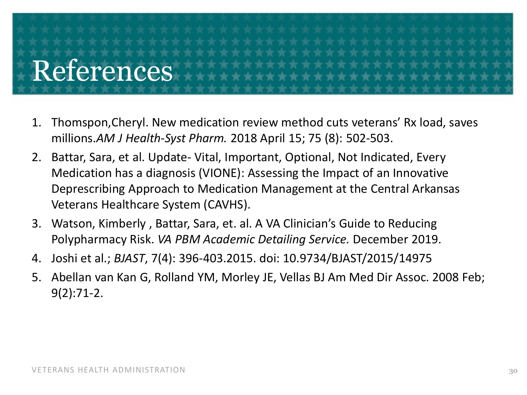# References

- 1. Thomspon,Cheryl. New medication review method cuts veterans' Rx load, saves millions.*AM J Health-Syst Pharm.* 2018 April 15; 75 (8): 502-503.
- 2. Battar, Sara, et al. Update- Vital, Important, Optional, Not Indicated, Every Medication has a diagnosis (VIONE): Assessing the Impact of an Innovative Deprescribing Approach to Medication Management at the Central Arkansas Veterans Healthcare System (CAVHS).
- 3. Watson, Kimberly , Battar, Sara, et. al. A VA Clinician's Guide to Reducing Polypharmacy Risk. *VA PBM Academic Detailing Service.* December 2019.
- 4. Joshi et al.; *BJAST*, 7(4): 396-403.2015. doi: 10.9734/BJAST/2015/14975
- 5. Abellan van Kan G, Rolland YM, Morley JE, Vellas BJ Am Med Dir Assoc. 2008 Feb; 9(2):71-2.